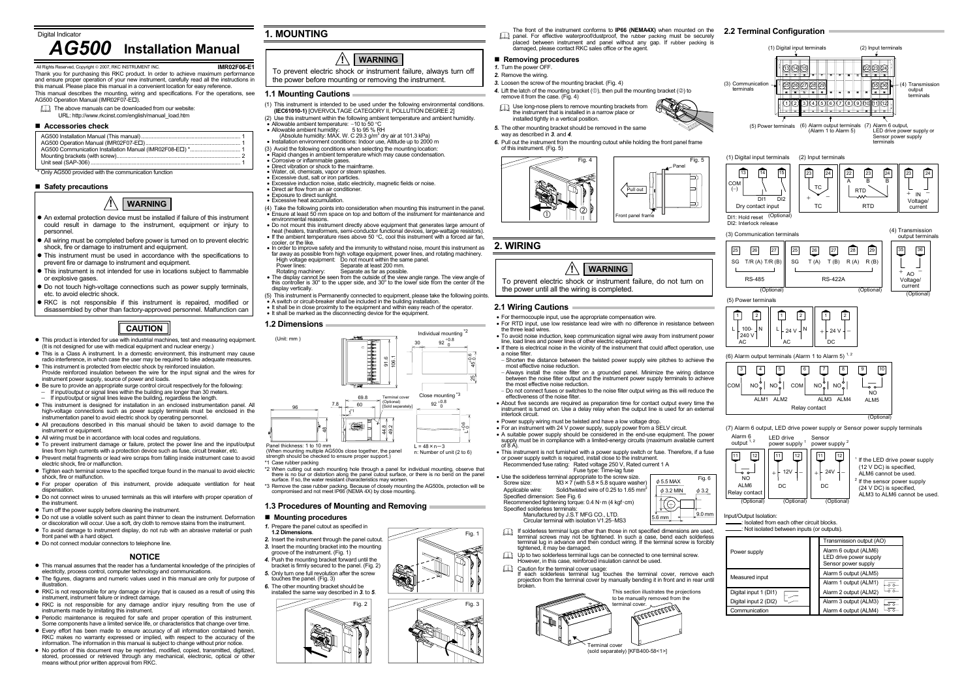**IMR02F06-E1**

 Thank you for purchasing this RKC product. In order to achieve maximum performance and ensure proper operation of your new instrument, carefully read all the instructions in this manual. Please place this manual in a convenient location for easy reference.

- This manual describes the mounting, wiring and specifications. For the operations, see<br>AG500 Operation Manual (IMR02F07-E□).
- The above manuals can be downloaded from our website:
- URL: http://www.rkcinst.com/english/manual\_load.htm

#### **Accessories check**

\* Only AG500 provided with the communication function

#### **Safety precautions**

- This manual assumes that the reader has a fundamental knowledge of the principles of electricity, process control, computer technology and communications.
- $\bullet$  The figures, diagrams and numeric values used in this manual are only for purpose of illustration.
- RKC is not responsible for any damage or injury that is caused as a result of using this instrument, instrument failure or indirect damage.
- $\bullet$  RKC is not responsible for any damage and/or injury resulting from the use of instruments made by imitating this instrument.
- Periodic maintenance is required for safe and proper operation of this instrument. Some components have a limited service life, or characteristics that change over time.
- $\bullet$  Every effort has been made to ensure accuracy of all information contained herein. RKC makes no warranty expressed or implied, with respect to the accuracy of the information. The information in this manual is subject to change without prior notice.
- $\bullet$  No portion of this document may be reprinted, modified, copied, transmitted, digitized, stored, processed or retrieved through any mechanical, electronic, optical or other means without prior written approval from RKC.

## **NOTICE**

- *1.* Turn the power OFF.
- *2.* Remove the wiring.
- *3.* Loosen the screw of the mounting bracket. (Fig. 4)
- 4. Lift the latch of the mounting bracket (①), then pull the mounting bracket (②) to remove it from the case. (Fig. 4)
- Use long-nose pliers to remove mounting brackets from the instrument that is installed in a narrow place or installed tightly in a vertical position.



# **1. MOUNTING**

### **1.1 Mounting Cautions**

- (1) This instrument is intended to be used under the following environmental conditions. **(IEC61010-1)** [OVERVOLTAGE CATEGORY II, POLLUTION DEGREE 2]
- (2) Use this instrument within the following ambient temperature and ambient humidity. • Allowable ambient temperature: −10 to 50 °C
- 
- Allowable ambient humidity:  $5$  to 95 % RH<br>(Absolute humidity: MAX. W. C 29.3 g/m<sup>3</sup> dry air at 101.3 kPa)
- Installation environment conditions: Indoor use, Altitude up to 2000 m
- (3) Avoid the following conditions when selecting the mounting location:
- $\overline{\bullet}$  Rapid changes in ambient temperature which may cause condensation. Corrosive or inflammable gases
- Concence of military material gases.
- 
- Water, oil, chemicals, vapor or steam splashes. Excessive dust, salt or iron particles.
- Excessive induction noise, static electricity, magnetic fields or noise.
- Direct air flow from an air conditioner.
- Exposure to direct sunlight. Excessive heat accumulation.
- (4) Take the following points into consideration when mounting this instrument in the panel. • Ensure at least 50 mm space on top and bottom of the instrument for maintenance and environmental reasons.
- Do not mount this instrument directly above equipment that generates large amount of heat (heaters, transformers, semi-conductor functional devices, large-wattage resistors). • If the ambient temperature rises above 50 °C, cool this instrument with a forced air fan,
- cooler, or the like.
- In order to improve safety and the immunity to withstand noise, mount this instrument as<br>far away as possible from high voltage equipment, power lines, and rotating machinery.<br>High voltage equipment: Do not mount withi
- Power lines: Separate at least 200 mm.
- Rotating machinery: Separate as far as possible. The display cannot be seen from the outside of the view angle range. The view angle of
- this controller is 30o to the upper side, and 30o to the lower side from the center of the display vertically.
- (5) This instrument is Permanently connected to equipment, please take the following points. A switch or circuit-breaker shall be included in the building installation.
- It shall be in close proximity to the equipment and within easy reach of the operator. It shall be marked as the disconnecting device for the equipment.

Up to two solderless terminal lugs can be connected to one terminal screw. However, in this case, reinforced insulation cannot be used.

#### **1.2 Dimensions**

45

 $25 \frac{1}{9}$ 

 (When mounting multiple AG500s close together, the panel strength should be checked to ensure proper support.)



n: Number of unit (2 to 6)

- \*1 Case rubber packing
- \*2 When cutting out each mounting hole through a panel for individual mounting, observe that there is no bur or distortion along the panel cutout surface, or there is no bend on the panel surface. If so, the water resistant characteristics may worsen.
- \*3 Remove the case rubber packing. Because of closely mounting the AG500s, protection will be compromised and not meet IP66 (NEMA 4X) by close mounting.

#### **1.3 Procedures of Mounting and Removing**

# ■ Mounting procedures

Fig. 1

Fig. 3

The front of the instrument conforms to **IP66 (NEMA4X)** when mounted on the **2.2 Terminal Configuration**  panel. For effective waterproof/dustproof, the rubber packing must be securely placed between instrument and panel without any gap. If rubber packing is damaged, please contact RKC sales office or the agent.

#### **Removing procedures**

- *5.* The other mounting bracket should be removed in the same way as described in *3*. and *4*.
- *6.* Pull out the instrument from the mounting cutout while holding the front panel frame of this instrument. (Fig. 5)





# **2. WIRING**

**2.1 Wiring Cautions** 

• For thermocouple input, use the appropriate compensation wire.

• For RTD input, use low resistance lead wire with no difference in resistance between

the three lead wires.

 • To avoid noise induction, keep communication signal wire away from instrument power line, load lines and power lines of other electric equipment. • If there is electrical noise in the vicinity of the instrument that could affect operation, use

a noise filter.

<sup>−</sup> Shorten the distance between the twisted power supply wire pitches to achieve the

most effective noise reduction.

<sup>−</sup> Always install the noise filter on a grounded panel. Minimize the wiring distance between the noise filter output and the instrument power supply terminals to achieve

the most effective noise reduction.

− Do not connect fuses or switches to the noise filter output wiring as this will reduce the

effectiveness of the noise filter.

Specified dimension: See Fig. 6

 • About five seconds are required as preparation time for contact output every time the instrument is turned on. Use a delay relay when the output line is used for an external

interlock circuit.

 • Power supply wiring must be twisted and have a low voltage drop. • For an instrument with 24 V power supply, supply power from a SELV circuit.

• A suitable power supply should be considered in the end-use equipment. The power supply must be in compliance with a limited-energy circuits (maximum available current of 8 A). • This instrument is not furnished with a power supply switch or fuse. Therefore, if a fuse

Fuse type: Time-lag fuse

or power supply switch is required, install close to the instrument. Recommended fuse rating: Rated voltage 250 V, Rated current 1 A

• Use the solderless terminal appropriate to the screw size.<br>Screw size:  $M3 \times 7$  (with  $5.8 \times 5.8$  square wash

Recommended tightening torque: 0.4 N·m (4 kgf·cm)

Specified solderless terminals:

 Manufactured by J.S.T MFG CO., LTD. Circular terminal with isolation V1.25−MS3

If solderless terminal lugs other than those in not specified dimensions are used, terminal screws may not be tightened. In such a case, bend each solderless terminal lug in advance and then conduct wiring. If the terminal screw is forcibly

tightened, it may be damaged.

Applicable wire: Solid/twisted wire of 0.25 to 1.65 mm<sup>2</sup>

Caution for the terminal cover usage: If each solderless terminal lug touches the terminal cover, remove each projection from the terminal cover by manually bending it in front and in rear until

 $M3\times$ 7 (with 5.8  $\times$  5.8 square washer)

broken.

 $\mathbf{D}$ 

Terminal cover

(sold separately) [KFB400-58<1>]

erminal cover.

This section illustrates the projections to be manually removed from the

**COLLANDORO** 







Input/Output Isolation:

: Isolated from each other circuit blocks.

: Not isolated between inputs (or outputs).

|                       | Transmission output (AO)                                               |
|-----------------------|------------------------------------------------------------------------|
| Power supply          | Alarm 6 output (ALM6)<br>LED drive power supply<br>Sensor power supply |
| Measured input        | Alarm 5 output (ALM5)                                                  |
|                       | Alarm 1 output (ALM1)                                                  |
| Digital input 1 (DI1) | Alarm 2 output (ALM2)                                                  |
| Digital input 2 (DI2) | Alarm 3 output (ALM3)                                                  |
| Communication         | Alarm 4 output (ALM4)                                                  |

# *AG500* **Installation Manual**

erved, Copyright © 2007, RKC INSTRUMENT INC.

#### **!WARNING**

- An external protection device must be installed if failure of this instrument could result in damage to the instrument, equipment or injury to personnel.
- All wiring must be completed before power is turned on to prevent electric shock, fire or damage to instrument and equipment.
- This instrument must be used in accordance with the specifications to prevent fire or damage to instrument and equipment.
- $\bullet$  This instrument is not intended for use in locations subject to flammable or explosive gases.
- $\bullet$  Do not touch high-voltage connections such as power supply terminals, etc. to avoid electric shock.
- RKC is not responsible if this instrument is repaired, modified or
- disassembled by other than factory-approved personnel. Malfunction can
	- **CAUTION**
- $\bullet$  This product is intended for use with industrial machines, test and measuring equipment. (It is not designed for use with medical equipment and nuclear energy.)
- $\bullet$  This is a Class A instrument. In a domestic environment, this instrument may cause radio interference, in which case the user may be required to take adequate measures.
- $\bullet$  This instrument is protected from electric shock by reinforced insulation. Provide reinforced insulation between the wire for the input signal and the wires for
- instrument power supply, source of power and loads.  $\bullet$  Be sure to provide an appropriate surge control circuit respectively for the following:
- Friend to provide an appropriate earge centrel encant respectively for the long<br>If input/output or signal lines within the building are longer than 30 meters. <sup>−</sup>If input/output or signal lines leave the building, regardless the length.
- $\bullet$  This instrument is designed for installation in an enclosed instrumentation panel. All high-voltage connections such as power supply terminals must be enclosed in the instrumentation panel to avoid electric shock by operating personnel.
- All precautions described in this manual should be taken to avoid damage to the instrument or equipment.
- All wiring must be in accordance with local codes and regulations.
- $\bullet$  To prevent instrument damage or failure, protect the power line and the input/output lines from high currents with a protection device such as fuse, circuit breaker, etc.
- Prevent metal fragments or lead wire scraps from falling inside instrument case to avoid electric shock, fire or malfunction.
- Tighten each terminal screw to the specified torque found in the manual to avoid electric shock, fire or malfunction.
- For proper operation of this instrument, provide adequate ventilation for heat dispensation.
- $\bullet$  Do not connect wires to unused terminals as this will interfere with proper operation of the instrument.
- $\bullet$  Turn off the nower supply before cleaning the instrument.
- $\bullet$  Do not use a volatile solvent such as paint thinner to clean the instrument. Deformation or discoloration will occur. Use a soft, dry cloth to remove stains from the instrument.  $\bullet$  To avoid damage to instrument display, do not rub with an abrasive material or push
- front panel with a hard object.
- $\bullet$  Do not connect modular connectors to telephone line.

To prevent electric shock or instrument failure, always turn off the power before mounting or removing the instrument.

#### **!WARNING**

To prevent electric shock or instrument failure, do not turn on

the power until all the wiring is completed.

**!**

**WARNING**

- *1.* Prepare the panel cutout as specified in
- **1.2 Dimensions**.
- *2.* Insert the instrument through the panel cutout.
- *3.* Insert the mounting bracket into the mounting groove of the instrument. (Fig. 1)
- Push the mounting bracket forward until the bracket is firmly secured to the panel. (Fig. 2)
- *5.* Only turn one full revolution after the screw touches the panel. (Fig. 3)
- *6.* The other mounting bracket should be

Fig. 6

 $\phi$  3.2

5.6 mm  $\left| \begin{array}{c} \left| \begin{array}{c} \end{array} \right| & \left| \begin{array}{c} \text{19.0 mm} \\ \text{+} & \end{array} \right| \end{array} \right|$ 

 $\phi$  3.2 MIN  $\phi$  5.5 MAX